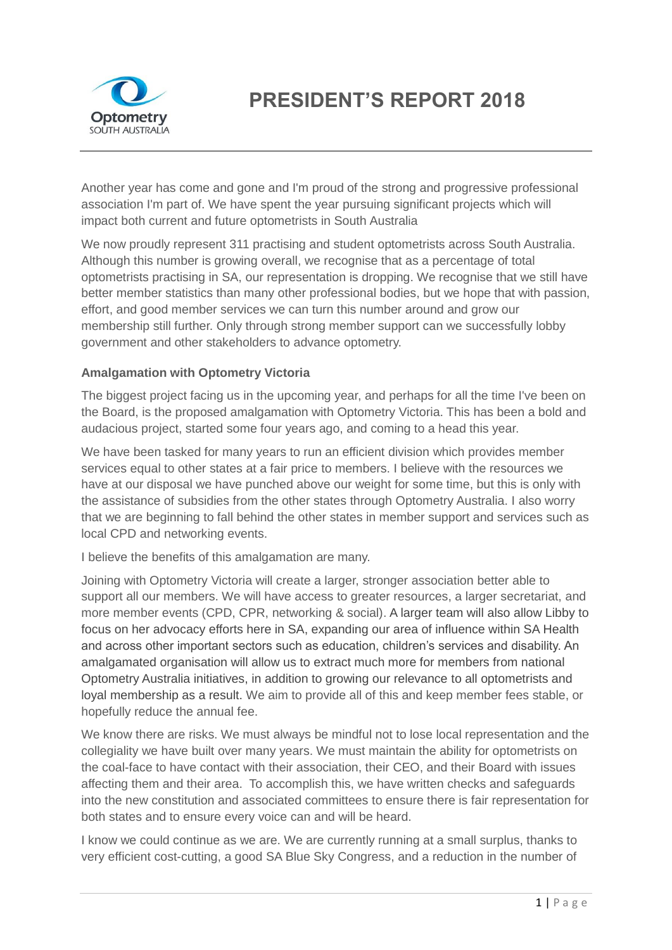

## **PRESIDENT'S REPORT 2018**

Another year has come and gone and I'm proud of the strong and progressive professional association I'm part of. We have spent the year pursuing significant projects which will impact both current and future optometrists in South Australia

We now proudly represent 311 practising and student optometrists across South Australia. Although this number is growing overall, we recognise that as a percentage of total optometrists practising in SA, our representation is dropping. We recognise that we still have better member statistics than many other professional bodies, but we hope that with passion, effort, and good member services we can turn this number around and grow our membership still further. Only through strong member support can we successfully lobby government and other stakeholders to advance optometry.

## **Amalgamation with Optometry Victoria**

The biggest project facing us in the upcoming year, and perhaps for all the time I've been on the Board, is the proposed amalgamation with Optometry Victoria. This has been a bold and audacious project, started some four years ago, and coming to a head this year.

We have been tasked for many years to run an efficient division which provides member services equal to other states at a fair price to members. I believe with the resources we have at our disposal we have punched above our weight for some time, but this is only with the assistance of subsidies from the other states through Optometry Australia. I also worry that we are beginning to fall behind the other states in member support and services such as local CPD and networking events.

I believe the benefits of this amalgamation are many.

Joining with Optometry Victoria will create a larger, stronger association better able to support all our members. We will have access to greater resources, a larger secretariat, and more member events (CPD, CPR, networking & social). A larger team will also allow Libby to focus on her advocacy efforts here in SA, expanding our area of influence within SA Health and across other important sectors such as education, children's services and disability. An amalgamated organisation will allow us to extract much more for members from national Optometry Australia initiatives, in addition to growing our relevance to all optometrists and loyal membership as a result. We aim to provide all of this and keep member fees stable, or hopefully reduce the annual fee.

We know there are risks. We must always be mindful not to lose local representation and the collegiality we have built over many years. We must maintain the ability for optometrists on the coal-face to have contact with their association, their CEO, and their Board with issues affecting them and their area. To accomplish this, we have written checks and safeguards into the new constitution and associated committees to ensure there is fair representation for both states and to ensure every voice can and will be heard.

I know we could continue as we are. We are currently running at a small surplus, thanks to very efficient cost-cutting, a good SA Blue Sky Congress, and a reduction in the number of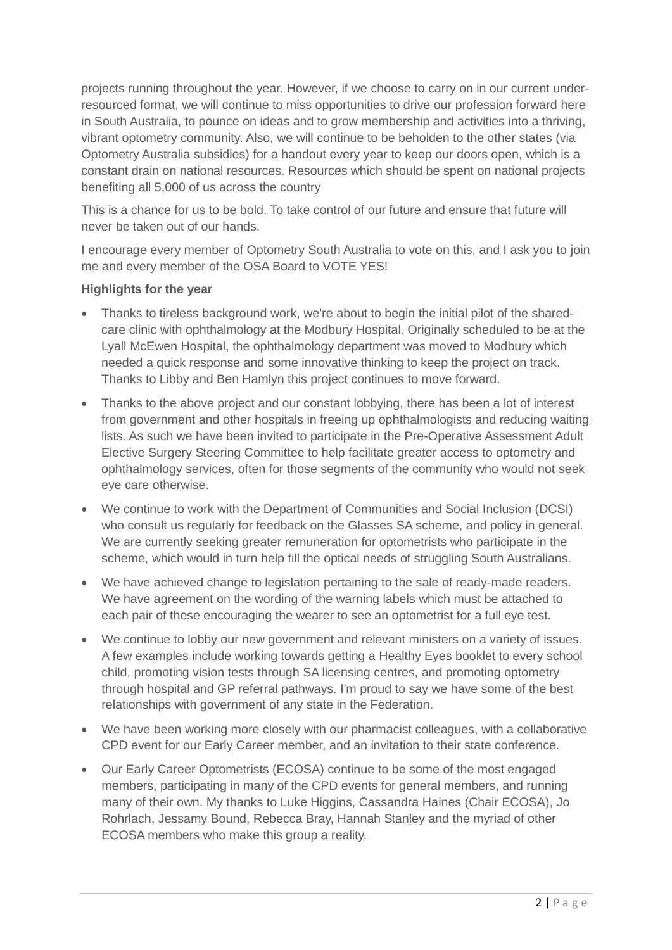projects running throughout the year. However, if we choose to carry on in our current underresourced format, we will continue to miss opportunities to drive our profession forward here in South Australia, to pounce on ideas and to grow membership and activities into a thriving, vibrant optometry community. Also, we will continue to be beholden to the other states (via Optometry Australia subsidies) for a handout every year to keep our doors open, which is a constant drain on national resources. Resources which should be spent on national projects benefiting all 5,000 of us across the country

This is a chance for us to be bold. To take control of our future and ensure that future will never be taken out of our hands.

I encourage every member of Optometry South Australia to vote on this, and I ask you to join me and every member of the OSA Board to VOTE YES!

## **Highlights for the year**

- Thanks to tireless background work, we're about to begin the initial pilot of the sharedcare clinic with ophthalmology at the Modbury Hospital. Originally scheduled to be at the Lyall McEwen Hospital, the ophthalmology department was moved to Modbury which needed a quick response and some innovative thinking to keep the project on track. Thanks to Libby and Ben Hamlyn this project continues to move forward.
- Thanks to the above project and our constant lobbying, there has been a lot of interest from government and other hospitals in freeing up ophthalmologists and reducing waiting lists. As such we have been invited to participate in the Pre-Operative Assessment Adult Elective Surgery Steering Committee to help facilitate greater access to optometry and ophthalmology services, often for those segments of the community who would not seek eye care otherwise.
- We continue to work with the Department of Communities and Social Inclusion (DCSI) who consult us regularly for feedback on the Glasses SA scheme, and policy in general. We are currently seeking greater remuneration for optometrists who participate in the scheme, which would in turn help fill the optical needs of struggling South Australians.
- We have achieved change to legislation pertaining to the sale of ready-made readers. We have agreement on the wording of the warning labels which must be attached to each pair of these encouraging the wearer to see an optometrist for a full eye test.
- We continue to lobby our new government and relevant ministers on a variety of issues. A few examples include working towards getting a Healthy Eyes booklet to every school child, promoting vision tests through SA licensing centres, and promoting optometry through hospital and GP referral pathways. I'm proud to say we have some of the best relationships with government of any state in the Federation.
- We have been working more closely with our pharmacist colleagues, with a collaborative CPD event for our Early Career member, and an invitation to their state conference.
- Our Early Career Optometrists (ECOSA) continue to be some of the most engaged members, participating in many of the CPD events for general members, and running many of their own. My thanks to Luke Higgins, Cassandra Haines (Chair ECOSA), Jo Rohrlach, Jessamy Bound, Rebecca Bray, Hannah Stanley and the myriad of other ECOSA members who make this group a reality.